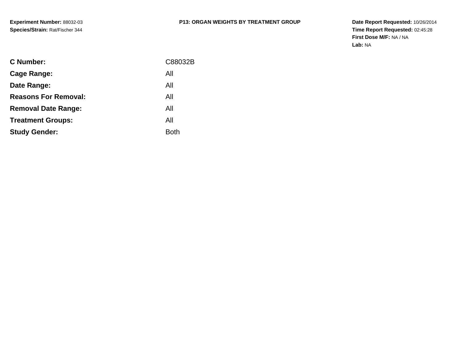| <b>C</b> Number:            | C88032B     |
|-----------------------------|-------------|
| Cage Range:                 | All         |
| Date Range:                 | All         |
| <b>Reasons For Removal:</b> | All         |
| <b>Removal Date Range:</b>  | All         |
| <b>Treatment Groups:</b>    | All         |
| <b>Study Gender:</b>        | <b>Both</b> |
|                             |             |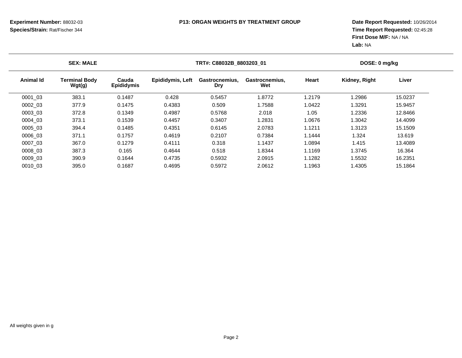| <b>SEX: MALE</b> |                                |                            |                  | TRT#: C88032B 8803203 01     |                       |        | DOSE: 0 mg/kg |         |  |
|------------------|--------------------------------|----------------------------|------------------|------------------------------|-----------------------|--------|---------------|---------|--|
| <b>Animal Id</b> | <b>Terminal Body</b><br>Wgt(g) | Cauda<br><b>Epididymis</b> | Epididymis, Left | Gastrocnemius.<br><b>Dry</b> | Gastrocnemius.<br>Wet | Heart  | Kidney, Right | Liver   |  |
| 0001 03          | 383.1                          | 0.1487                     | 0.428            | 0.5457                       | 1.8772                | 1.2179 | 1.2986        | 15.0237 |  |
| 0002 03          | 377.9                          | 0.1475                     | 0.4383           | 0.509                        | 1.7588                | 1.0422 | 1.3291        | 15.9457 |  |
| 0003 03          | 372.8                          | 0.1349                     | 0.4987           | 0.5768                       | 2.018                 | 1.05   | 1.2336        | 12.8466 |  |
| 0004 03          | 373.1                          | 0.1539                     | 0.4457           | 0.3407                       | 1.2831                | 1.0676 | 1.3042        | 14.4099 |  |
| 0005 03          | 394.4                          | 0.1485                     | 0.4351           | 0.6145                       | 2.0783                | 1.1211 | 1.3123        | 15.1509 |  |
| 0006 03          | 371.1                          | 0.1757                     | 0.4619           | 0.2107                       | 0.7384                | 1.1444 | 1.324         | 13.619  |  |
| 0007 03          | 367.0                          | 0.1279                     | 0.4111           | 0.318                        | 1.1437                | 1.0894 | 1.415         | 13.4089 |  |
| 0008 03          | 387.3                          | 0.165                      | 0.4644           | 0.518                        | 1.8344                | 1.1169 | 1.3745        | 16.364  |  |
| 0009 03          | 390.9                          | 0.1644                     | 0.4735           | 0.5932                       | 2.0915                | 1.1282 | 1.5532        | 16.2351 |  |
| 0010 03          | 395.0                          | 0.1687                     | 0.4695           | 0.5972                       | 2.0612                | 1.1963 | 1.4305        | 15.1864 |  |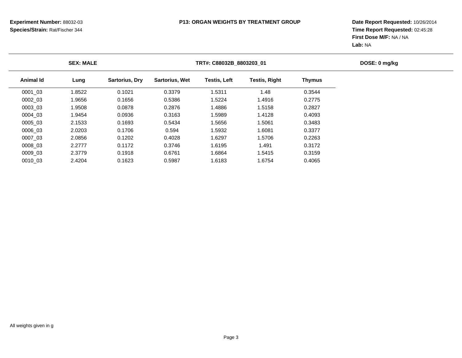| <b>SEX: MALE</b> |           |        |                       |                       | TRT#: C88032B_8803203_01 |                      |               |  |  |  |
|------------------|-----------|--------|-----------------------|-----------------------|--------------------------|----------------------|---------------|--|--|--|
|                  | Animal Id | Lung   | <b>Sartorius, Dry</b> | <b>Sartorius, Wet</b> | Testis, Left             | <b>Testis, Right</b> | <b>Thymus</b> |  |  |  |
|                  | 0001 03   | 1.8522 | 0.1021                | 0.3379                | 1.5311                   | 1.48                 | 0.3544        |  |  |  |
|                  | 0002 03   | 1.9656 | 0.1656                | 0.5386                | 1.5224                   | 1.4916               | 0.2775        |  |  |  |
|                  | 0003 03   | 1.9508 | 0.0878                | 0.2876                | 1.4886                   | 1.5158               | 0.2827        |  |  |  |
|                  | 0004 03   | 1.9454 | 0.0936                | 0.3163                | 1.5989                   | 1.4128               | 0.4093        |  |  |  |
|                  | 0005 03   | 2.1533 | 0.1693                | 0.5434                | 1.5656                   | 1.5061               | 0.3483        |  |  |  |
|                  | 0006 03   | 2.0203 | 0.1706                | 0.594                 | 1.5932                   | 1.6081               | 0.3377        |  |  |  |
|                  | 0007 03   | 2.0856 | 0.1202                | 0.4028                | 1.6297                   | 1.5706               | 0.2263        |  |  |  |
|                  | 0008 03   | 2.2777 | 0.1172                | 0.3746                | 1.6195                   | 1.491                | 0.3172        |  |  |  |
|                  | 0009 03   | 2.3779 | 0.1918                | 0.6761                | 1.6864                   | 1.5415               | 0.3159        |  |  |  |
|                  | 0010 03   | 2.4204 | 0.1623                | 0.5987                | 1.6183                   | 1.6754               | 0.4065        |  |  |  |
|                  |           |        |                       |                       |                          |                      |               |  |  |  |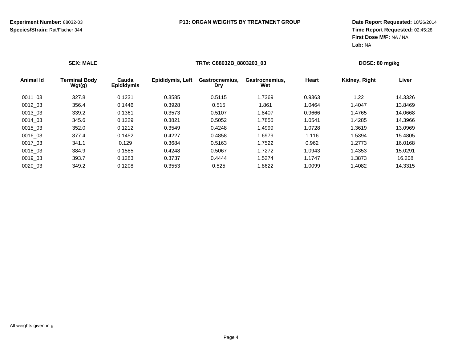| <b>SEX: MALE</b> |                                |                            |                  | TRT#: C88032B 8803203 03 |                       |        | DOSE: 80 mg/kg |         |  |
|------------------|--------------------------------|----------------------------|------------------|--------------------------|-----------------------|--------|----------------|---------|--|
| <b>Animal Id</b> | <b>Terminal Body</b><br>Wgt(g) | Cauda<br><b>Epididymis</b> | Epididymis, Left | Gastrocnemius.<br>Dry    | Gastrocnemius.<br>Wet | Heart  | Kidney, Right  | Liver   |  |
| 0011 03          | 327.8                          | 0.1231                     | 0.3585           | 0.5115                   | 1.7369                | 0.9363 | 1.22           | 14.3326 |  |
| 0012 03          | 356.4                          | 0.1446                     | 0.3928           | 0.515                    | 1.861                 | 1.0464 | 1.4047         | 13.8469 |  |
| 0013 03          | 339.2                          | 0.1361                     | 0.3573           | 0.5107                   | 1.8407                | 0.9666 | 1.4765         | 14.0668 |  |
| 0014 03          | 345.6                          | 0.1229                     | 0.3821           | 0.5052                   | 1.7855                | 1.0541 | 1.4285         | 14.3966 |  |
| 0015 03          | 352.0                          | 0.1212                     | 0.3549           | 0.4248                   | 1.4999                | 1.0728 | 1.3619         | 13.0969 |  |
| 0016 03          | 377.4                          | 0.1452                     | 0.4227           | 0.4858                   | 1.6979                | 1.116  | 1.5394         | 15.4805 |  |
| 0017 03          | 341.1                          | 0.129                      | 0.3684           | 0.5163                   | 1.7522                | 0.962  | 1.2773         | 16.0168 |  |
| 0018 03          | 384.9                          | 0.1585                     | 0.4248           | 0.5067                   | 1.7272                | 1.0943 | 1.4353         | 15.0291 |  |
| 0019 03          | 393.7                          | 0.1283                     | 0.3737           | 0.4444                   | 1.5274                | 1.1747 | 1.3873         | 16.208  |  |
| 0020 03          | 349.2                          | 0.1208                     | 0.3553           | 0.525                    | 1.8622                | 1.0099 | 1.4082         | 14.3315 |  |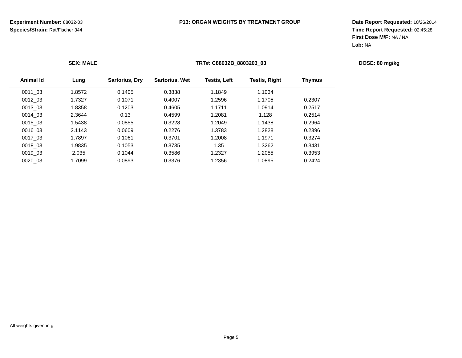| <b>SEX: MALE</b> |           |        |                       | TRT#: C88032B 8803203 03 |                     |                      |               |  |  |
|------------------|-----------|--------|-----------------------|--------------------------|---------------------|----------------------|---------------|--|--|
|                  | Animal Id | Lung   | <b>Sartorius, Dry</b> | <b>Sartorius, Wet</b>    | <b>Testis, Left</b> | <b>Testis, Right</b> | <b>Thymus</b> |  |  |
|                  | 0011 03   | 1.8572 | 0.1405                | 0.3838                   | 1.1849              | 1.1034               |               |  |  |
|                  | 0012 03   | 1.7327 | 0.1071                | 0.4007                   | 1.2596              | 1.1705               | 0.2307        |  |  |
|                  | 0013 03   | 1.8358 | 0.1203                | 0.4605                   | 1.1711              | 1.0914               | 0.2517        |  |  |
|                  | 0014 03   | 2.3644 | 0.13                  | 0.4599                   | 1.2081              | 1.128                | 0.2514        |  |  |
|                  | 0015 03   | 1.5438 | 0.0855                | 0.3228                   | 1.2049              | 1.1438               | 0.2964        |  |  |
|                  | 0016 03   | 2.1143 | 0.0609                | 0.2276                   | 1.3783              | 1.2828               | 0.2396        |  |  |
|                  | 0017 03   | 1.7897 | 0.1061                | 0.3701                   | 1.2008              | 1.1971               | 0.3274        |  |  |
|                  | 0018 03   | 1.9835 | 0.1053                | 0.3735                   | 1.35                | 1.3262               | 0.3431        |  |  |
|                  | 0019 03   | 2.035  | 0.1044                | 0.3586                   | 1.2327              | 1.2055               | 0.3953        |  |  |
|                  | 0020 03   | 1.7099 | 0.0893                | 0.3376                   | 1.2356              | 1.0895               | 0.2424        |  |  |
|                  |           |        |                       |                          |                     |                      |               |  |  |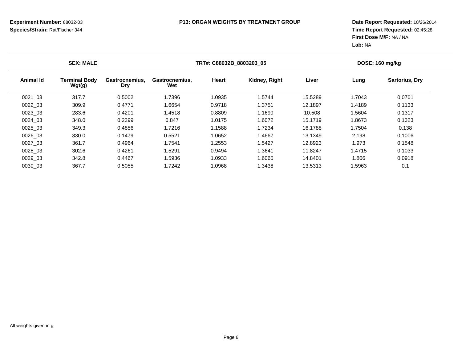| <b>SEX: MALE</b> |                                |                              | TRT#: C88032B 8803203 05 |        |               |         | DOSE: 160 mg/kg |                       |  |
|------------------|--------------------------------|------------------------------|--------------------------|--------|---------------|---------|-----------------|-----------------------|--|
| Animal Id        | <b>Terminal Body</b><br>Wgt(g) | Gastrocnemius,<br><b>Dry</b> | Gastrocnemius,<br>Wet    | Heart  | Kidney, Right | Liver   | Lung            | <b>Sartorius, Dry</b> |  |
| 0021_03          | 317.7                          | 0.5002                       | 1.7396                   | 1.0935 | 1.5744        | 15.5289 | 1.7043          | 0.0701                |  |
| 0022 03          | 309.9                          | 0.4771                       | 1.6654                   | 0.9718 | 1.3751        | 12.1897 | 1.4189          | 0.1133                |  |
| 0023 03          | 283.6                          | 0.4201                       | 1.4518                   | 0.8809 | 1.1699        | 10.508  | 1.5604          | 0.1317                |  |
| 0024 03          | 348.0                          | 0.2299                       | 0.847                    | 1.0175 | 1.6072        | 15.1719 | 1.8673          | 0.1323                |  |
| 0025 03          | 349.3                          | 0.4856                       | 1.7216                   | 1.1588 | 1.7234        | 16.1788 | 1.7504          | 0.138                 |  |
| 0026 03          | 330.0                          | 0.1479                       | 0.5521                   | 1.0652 | 1.4667        | 13.1349 | 2.198           | 0.1006                |  |
| 0027 03          | 361.7                          | 0.4964                       | 1.7541                   | 1.2553 | 1.5427        | 12.8923 | 1.973           | 0.1548                |  |
| 0028 03          | 302.6                          | 0.4261                       | 1.5291                   | 0.9494 | 1.3641        | 11.8247 | 1.4715          | 0.1033                |  |
| 0029 03          | 342.8                          | 0.4467                       | 1.5936                   | 1.0933 | 1.6065        | 14.8401 | 1.806           | 0.0918                |  |
| 0030 03          | 367.7                          | 0.5055                       | 1.7242                   | 1.0968 | 1.3438        | 13.5313 | 1.5963          | 0.1                   |  |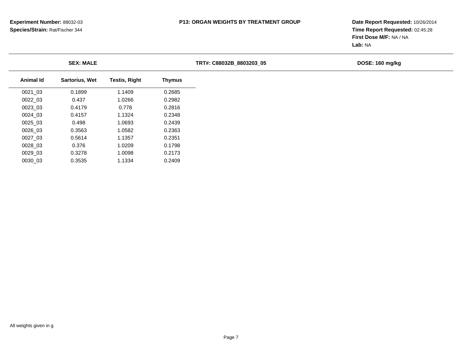**Date Report Requested:** 10/26/2014 **Time Report Requested:** 02:45:28**First Dose M/F:** NA / NA**Lab:** NA

|           | <b>SEX: MALE</b>      |                      |               | TRT#: C88032B 8803203 05 | DOSE: 160 mg/kg |
|-----------|-----------------------|----------------------|---------------|--------------------------|-----------------|
| Animal Id | <b>Sartorius, Wet</b> | <b>Testis, Right</b> | <b>Thymus</b> |                          |                 |
| 0021_03   | 0.1899                | 1.1409               | 0.2685        |                          |                 |
| 0022 03   | 0.437                 | 1.0266               | 0.2982        |                          |                 |
| 0023 03   | 0.4179                | 0.778                | 0.2816        |                          |                 |
| 0024 03   | 0.4157                | 1.1324               | 0.2348        |                          |                 |
| 0025 03   | 0.498                 | 1.0693               | 0.2439        |                          |                 |
| 0026 03   | 0.3563                | 1.0582               | 0.2363        |                          |                 |
| 0027 03   | 0.5614                | 1.1357               | 0.2351        |                          |                 |
| 0028 03   | 0.376                 | 1.0209               | 0.1798        |                          |                 |
| 0029 03   | 0.3278                | 1.0098               | 0.2173        |                          |                 |
| 0030 03   | 0.3535                | 1.1334               | 0.2409        |                          |                 |

0.3535 1.1334 0.2409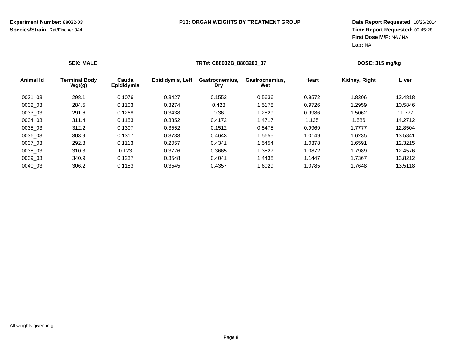|           | <b>SEX: MALE</b>               |                            |                         | TRT#: C88032B_8803203_07     |                       |        | DOSE: 315 mg/kg |         |  |
|-----------|--------------------------------|----------------------------|-------------------------|------------------------------|-----------------------|--------|-----------------|---------|--|
| Animal Id | <b>Terminal Body</b><br>Wgt(g) | Cauda<br><b>Epididymis</b> | <b>Epididymis, Left</b> | Gastrocnemius.<br><b>Dry</b> | Gastrocnemius.<br>Wet | Heart  | Kidney, Right   | Liver   |  |
| 0031 03   | 298.1                          | 0.1076                     | 0.3427                  | 0.1553                       | 0.5636                | 0.9572 | 1.8306          | 13.4818 |  |
| 0032 03   | 284.5                          | 0.1103                     | 0.3274                  | 0.423                        | 1.5178                | 0.9726 | .2959           | 10.5846 |  |
| 0033 03   | 291.6                          | 0.1268                     | 0.3438                  | 0.36                         | 1.2829                | 0.9986 | .5062           | 11.777  |  |
| 0034 03   | 311.4                          | 0.1153                     | 0.3352                  | 0.4172                       | 1.4717                | 1.135  | 1.586           | 14.2712 |  |
| 0035 03   | 312.2                          | 0.1307                     | 0.3552                  | 0.1512                       | 0.5475                | 0.9969 | 1.7777          | 12.8504 |  |
| 0036 03   | 303.9                          | 0.1317                     | 0.3733                  | 0.4643                       | 1.5655                | 1.0149 | 1.6235          | 13.5841 |  |
| 0037 03   | 292.8                          | 0.1113                     | 0.2057                  | 0.4341                       | 1.5454                | 1.0378 | 1.6591          | 12.3215 |  |
| 0038 03   | 310.3                          | 0.123                      | 0.3776                  | 0.3665                       | 1.3527                | 1.0872 | 1.7989          | 12.4576 |  |
| 0039 03   | 340.9                          | 0.1237                     | 0.3548                  | 0.4041                       | 1.4438                | 1.1447 | 1.7367          | 13.8212 |  |
| 0040 03   | 306.2                          | 0.1183                     | 0.3545                  | 0.4357                       | 1.6029                | 1.0785 | 1.7648          | 13.5118 |  |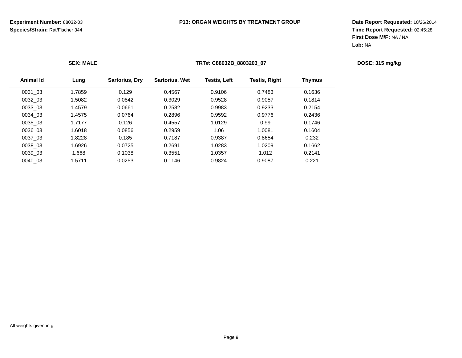|                  | <b>SEX: MALE</b> |                |                       | TRT#: C88032B_8803203_07 |               |               |  |  |  |  |
|------------------|------------------|----------------|-----------------------|--------------------------|---------------|---------------|--|--|--|--|
| <b>Animal Id</b> | Lung             | Sartorius, Dry | <b>Sartorius, Wet</b> | <b>Testis, Left</b>      | Testis, Right | <b>Thymus</b> |  |  |  |  |
| 0031 03          | 1.7859           | 0.129          | 0.4567                | 0.9106                   | 0.7483        | 0.1636        |  |  |  |  |
| 0032 03          | 1.5082           | 0.0842         | 0.3029                | 0.9528                   | 0.9057        | 0.1814        |  |  |  |  |
| 0033 03          | 1.4579           | 0.0661         | 0.2582                | 0.9983                   | 0.9233        | 0.2154        |  |  |  |  |
| 0034 03          | 1.4575           | 0.0764         | 0.2896                | 0.9592                   | 0.9776        | 0.2436        |  |  |  |  |
| 0035 03          | 1.7177           | 0.126          | 0.4557                | 1.0129                   | 0.99          | 0.1746        |  |  |  |  |
| 0036 03          | 1.6018           | 0.0856         | 0.2959                | 1.06                     | 1.0081        | 0.1604        |  |  |  |  |
| 0037 03          | 1.8228           | 0.185          | 0.7187                | 0.9387                   | 0.8654        | 0.232         |  |  |  |  |
| 0038 03          | 1.6926           | 0.0725         | 0.2691                | 1.0283                   | 1.0209        | 0.1662        |  |  |  |  |
| 0039 03          | 1.668            | 0.1038         | 0.3551                | 1.0357                   | 1.012         | 0.2141        |  |  |  |  |
| 0040 03          | 1.5711           | 0.0253         | 0.1146                | 0.9824                   | 0.9087        | 0.221         |  |  |  |  |
|                  |                  |                |                       |                          |               |               |  |  |  |  |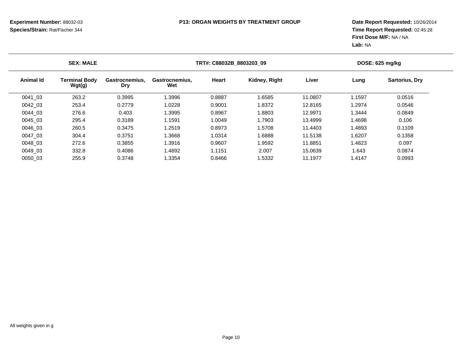| <b>SEX: MALE</b> |                                |                              |                       | TRT#: C88032B 8803203 09 |               |         |        | DOSE: 625 mg/kg       |  |
|------------------|--------------------------------|------------------------------|-----------------------|--------------------------|---------------|---------|--------|-----------------------|--|
| <b>Animal Id</b> | <b>Terminal Body</b><br>Wgt(g) | Gastrocnemius.<br><b>Dry</b> | Gastrocnemius,<br>Wet | Heart                    | Kidney, Right | Liver   | Lung   | <b>Sartorius, Dry</b> |  |
| 0041 03          | 263.2                          | 0.3995                       | 1.3996                | 0.8887                   | 1.6585        | 11.0807 | 1.1597 | 0.0516                |  |
| 0042 03          | 253.4                          | 0.2779                       | 1.0228                | 0.9001                   | 1.8372        | 12.8165 | 1.2974 | 0.0546                |  |
| 0044 03          | 276.6                          | 0.403                        | 1.3995                | 0.8967                   | 1.8803        | 12.9971 | 1.3444 | 0.0849                |  |
| 0045 03          | 295.4                          | 0.3189                       | 1.1591                | 1.0049                   | 1.7903        | 13.4999 | 1.4698 | 0.106                 |  |
| 0046 03          | 260.5                          | 0.3475                       | 1.2519                | 0.8973                   | 1.5708        | 11.4403 | 1.4893 | 0.1109                |  |
| 0047 03          | 304.4                          | 0.3751                       | 1.3668                | 1.0314                   | 1.6888        | 11.5138 | 1.6207 | 0.1358                |  |
| 0048 03          | 272.6                          | 0.3855                       | 1.3916                | 0.9607                   | 1.9592        | 11.8851 | 1.4823 | 0.097                 |  |
| 0049 03          | 332.8                          | 0.4086                       | 1.4892                | 1.1151                   | 2.007         | 15.0639 | 1.643  | 0.0874                |  |
| 0050 03          | 255.9                          | 0.3748                       | 1.3354                | 0.8466                   | 1.5332        | 11.1977 | 1.4147 | 0.0993                |  |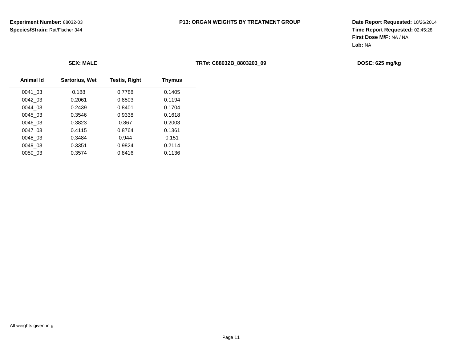|           | <b>SEX: MALE</b>      |                      |               | TRT#: C88032B 8803203 09 | DOSE: 625 mg/kg |
|-----------|-----------------------|----------------------|---------------|--------------------------|-----------------|
| Animal Id | <b>Sartorius, Wet</b> | <b>Testis, Right</b> | <b>Thymus</b> |                          |                 |
| 0041 03   | 0.188                 | 0.7788               | 0.1405        |                          |                 |
| 0042 03   | 0.2061                | 0.8503               | 0.1194        |                          |                 |
| 0044 03   | 0.2439                | 0.8401               | 0.1704        |                          |                 |
| 0045 03   | 0.3546                | 0.9338               | 0.1618        |                          |                 |
| 0046 03   | 0.3823                | 0.867                | 0.2003        |                          |                 |
| 0047 03   | 0.4115                | 0.8764               | 0.1361        |                          |                 |
| 0048 03   | 0.3484                | 0.944                | 0.151         |                          |                 |
| 0049 03   | 0.3351                | 0.9824               | 0.2114        |                          |                 |
| 0050_03   | 0.3574                | 0.8416               | 0.1136        |                          |                 |
|           |                       |                      |               |                          |                 |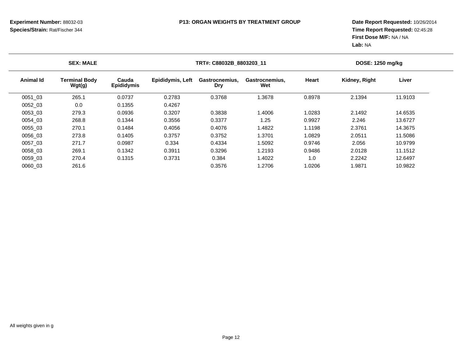| TRT#: C88032B 8803203 11       | DOSE: 1250 mg/kg                                                                                                        |  |  |
|--------------------------------|-------------------------------------------------------------------------------------------------------------------------|--|--|
| Heart<br>Gastrocnemius,<br>Wet | Liver                                                                                                                   |  |  |
| 1.3678<br>0.8978               | 11.9103                                                                                                                 |  |  |
|                                |                                                                                                                         |  |  |
| 1.4006<br>1.0283               | 14.6535                                                                                                                 |  |  |
| 1.25<br>0.9927                 | 13.6727                                                                                                                 |  |  |
| 1.4822<br>1.1198               | 14.3675                                                                                                                 |  |  |
| 1.3701<br>1.0829               | 11.5086                                                                                                                 |  |  |
| 1.5092<br>0.9746               | 10.9799                                                                                                                 |  |  |
| 1.2193<br>0.9486               | 11.1512                                                                                                                 |  |  |
| 1.4022<br>1.0                  | 12.6497                                                                                                                 |  |  |
| 1.2706<br>1.0206               | 10.9822                                                                                                                 |  |  |
|                                | Kidney, Right<br>Gastrocnemius,<br>2.1394<br>2.1492<br>2.246<br>2.3761<br>2.0511<br>2.056<br>2.0128<br>2.2242<br>1.9871 |  |  |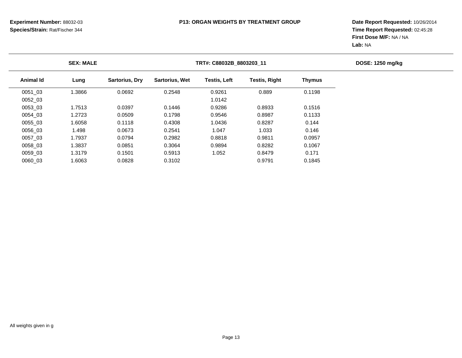|           | <b>SEX: MALE</b> |                       |                       | TRT#: C88032B_8803203_11 |                      |               |  |  |  |  |
|-----------|------------------|-----------------------|-----------------------|--------------------------|----------------------|---------------|--|--|--|--|
| Animal Id | Lung             | <b>Sartorius, Dry</b> | <b>Sartorius, Wet</b> | <b>Testis, Left</b>      | <b>Testis, Right</b> | <b>Thymus</b> |  |  |  |  |
| 0051 03   | .3866            | 0.0692                | 0.2548                | 0.9261                   | 0.889                | 0.1198        |  |  |  |  |
| 0052 03   |                  |                       |                       | 1.0142                   |                      |               |  |  |  |  |
| 0053 03   | 1.7513           | 0.0397                | 0.1446                | 0.9286                   | 0.8933               | 0.1516        |  |  |  |  |
| 0054 03   | .2723            | 0.0509                | 0.1798                | 0.9546                   | 0.8987               | 0.1133        |  |  |  |  |
| 0055 03   | .6058            | 0.1118                | 0.4308                | 1.0436                   | 0.8287               | 0.144         |  |  |  |  |
| 0056 03   | 1.498            | 0.0673                | 0.2541                | 1.047                    | 1.033                | 0.146         |  |  |  |  |
| 0057 03   | 1.7937           | 0.0794                | 0.2982                | 0.8818                   | 0.9811               | 0.0957        |  |  |  |  |
| 0058 03   | .3837            | 0.0851                | 0.3064                | 0.9894                   | 0.8282               | 0.1067        |  |  |  |  |
| 0059 03   | .3179            | 0.1501                | 0.5913                | 1.052                    | 0.8479               | 0.171         |  |  |  |  |
| 0060 03   | .6063            | 0.0828                | 0.3102                |                          | 0.9791               | 0.1845        |  |  |  |  |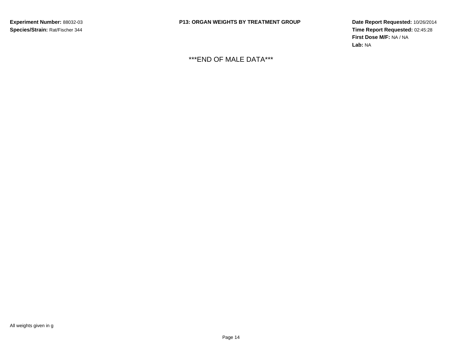**Date Report Requested:** 10/26/2014 **Time Report Requested:** 02:45:28**First Dose M/F:** NA / NA**Lab:** NA

\*\*\*END OF MALE DATA\*\*\*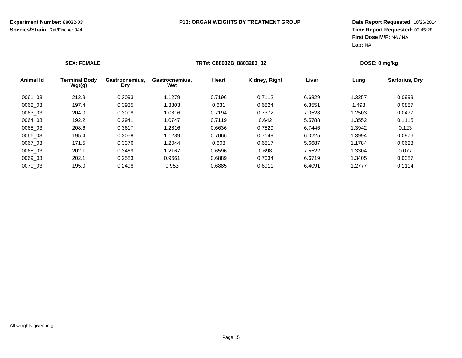|                  | <b>SEX: FEMALE</b>             |                              |                       | TRT#: C88032B 8803203 02 |               | DOSE: 0 mg/kg |        |                       |
|------------------|--------------------------------|------------------------------|-----------------------|--------------------------|---------------|---------------|--------|-----------------------|
| <b>Animal Id</b> | <b>Terminal Body</b><br>Wgt(g) | Gastrocnemius,<br><b>Dry</b> | Gastrocnemius,<br>Wet | Heart                    | Kidney, Right | Liver         | Lung   | <b>Sartorius, Dry</b> |
| 0061 03          | 212.9                          | 0.3093                       | 1.1279                | 0.7196                   | 0.7112        | 6.6829        | 1.3257 | 0.0999                |
| 0062 03          | 197.4                          | 0.3935                       | 1.3803                | 0.631                    | 0.6824        | 6.3551        | 1.498  | 0.0887                |
| 0063 03          | 204.0                          | 0.3008                       | 1.0816                | 0.7194                   | 0.7372        | 7.0528        | 1.2503 | 0.0477                |
| 0064 03          | 192.2                          | 0.2941                       | 1.0747                | 0.7119                   | 0.642         | 5.5788        | 1.3552 | 0.1115                |
| 0065 03          | 208.6                          | 0.3617                       | 1.2816                | 0.6636                   | 0.7529        | 6.7446        | 1.3942 | 0.123                 |
| 0066 03          | 195.4                          | 0.3058                       | 1.1289                | 0.7066                   | 0.7149        | 6.0225        | 1.3994 | 0.0976                |
| 0067 03          | 171.5                          | 0.3376                       | 1.2044                | 0.603                    | 0.6817        | 5.6687        | 1.1784 | 0.0628                |
| 0068 03          | 202.1                          | 0.3469                       | 1.2167                | 0.6596                   | 0.698         | 7.5522        | 1.3304 | 0.077                 |
| 0069 03          | 202.1                          | 0.2583                       | 0.9661                | 0.6889                   | 0.7034        | 6.6719        | 1.3405 | 0.0387                |
| 0070 03          | 195.0                          | 0.2498                       | 0.953                 | 0.6885                   | 0.6911        | 6.4091        | 1.2777 | 0.1114                |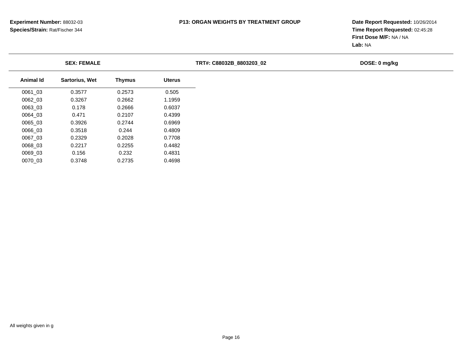0.3748 0.2735 0.4698

# **P13: ORGAN WEIGHTS BY TREATMENT GROUP**

| <b>SEX: FEMALE</b> |                       |               |               | TRT#: C88032B 8803203 02 | DOSE: 0 mg/kg |  |  |  |
|--------------------|-----------------------|---------------|---------------|--------------------------|---------------|--|--|--|
| Animal Id          | <b>Sartorius, Wet</b> | <b>Thymus</b> | <b>Uterus</b> |                          |               |  |  |  |
| 0061_03            | 0.3577                | 0.2573        | 0.505         |                          |               |  |  |  |
| 0062_03            | 0.3267                | 0.2662        | 1.1959        |                          |               |  |  |  |
| 0063_03            | 0.178                 | 0.2666        | 0.6037        |                          |               |  |  |  |
| 0064_03            | 0.471                 | 0.2107        | 0.4399        |                          |               |  |  |  |
| 0065_03            | 0.3926                | 0.2744        | 0.6969        |                          |               |  |  |  |
| 0066_03            | 0.3518                | 0.244         | 0.4809        |                          |               |  |  |  |
| 0067_03            | 0.2329                | 0.2028        | 0.7708        |                          |               |  |  |  |
| 0068_03            | 0.2217                | 0.2255        | 0.4482        |                          |               |  |  |  |
| 0069_03            | 0.156                 | 0.232         | 0.4831        |                          |               |  |  |  |
| 0070_03            | 0.3748                | 0.2735        | 0.4698        |                          |               |  |  |  |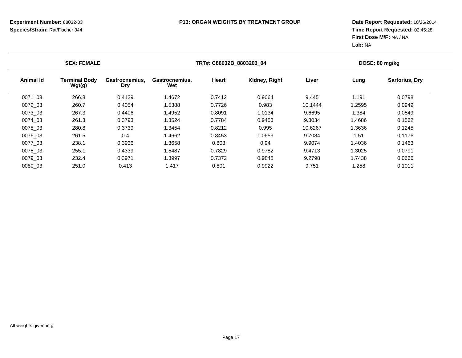|           | <b>SEX: FEMALE</b>             |                              |                       | TRT#: C88032B 8803203 04 |               |         |        | DOSE: 80 mg/kg        |  |  |
|-----------|--------------------------------|------------------------------|-----------------------|--------------------------|---------------|---------|--------|-----------------------|--|--|
| Animal Id | <b>Terminal Body</b><br>Wgt(g) | Gastrocnemius,<br><b>Dry</b> | Gastrocnemius,<br>Wet | Heart                    | Kidney, Right | Liver   | Lung   | <b>Sartorius, Dry</b> |  |  |
| 0071 03   | 266.8                          | 0.4129                       | 1.4672                | 0.7412                   | 0.9064        | 9.445   | 1.191  | 0.0798                |  |  |
| 0072 03   | 260.7                          | 0.4054                       | 1.5388                | 0.7726                   | 0.983         | 10.1444 | 1.2595 | 0.0949                |  |  |
| 0073 03   | 267.3                          | 0.4406                       | 1.4952                | 0.8091                   | 1.0134        | 9.6695  | 1.384  | 0.0549                |  |  |
| 0074 03   | 261.3                          | 0.3793                       | 1.3524                | 0.7784                   | 0.9453        | 9.3034  | 1.4686 | 0.1562                |  |  |
| 0075 03   | 280.8                          | 0.3739                       | 1.3454                | 0.8212                   | 0.995         | 10.6267 | 1.3636 | 0.1245                |  |  |
| 0076 03   | 261.5                          | 0.4                          | 1.4662                | 0.8453                   | 1.0659        | 9.7084  | 1.51   | 0.1176                |  |  |
| 0077 03   | 238.1                          | 0.3936                       | 1.3658                | 0.803                    | 0.94          | 9.9074  | 1.4036 | 0.1463                |  |  |
| 0078 03   | 255.1                          | 0.4339                       | 1.5487                | 0.7829                   | 0.9782        | 9.4713  | 1.3025 | 0.0791                |  |  |
| 0079 03   | 232.4                          | 0.3971                       | 1.3997                | 0.7372                   | 0.9848        | 9.2798  | 1.7438 | 0.0666                |  |  |
| 0080 03   | 251.0                          | 0.413                        | 1.417                 | 0.801                    | 0.9922        | 9.751   | 1.258  | 0.1011                |  |  |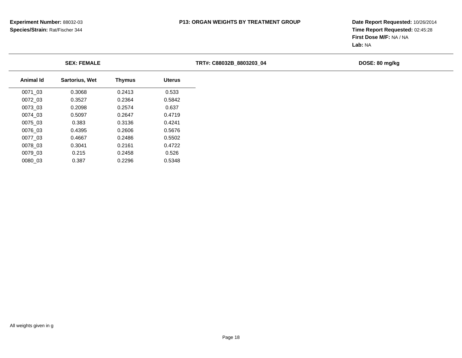| <b>SEX: FEMALE</b> |               |               | TRT#: C88032B_8803203_04 | DOSE: 80 mg/kg |
|--------------------|---------------|---------------|--------------------------|----------------|
| Sartorius, Wet     | <b>Thymus</b> | <b>Uterus</b> |                          |                |
| 0.3068             | 0.2413        | 0.533         |                          |                |
| 0.3527             | 0.2364        | 0.5842        |                          |                |
| 0.2098             | 0.2574        | 0.637         |                          |                |
| 0.5097             | 0.2647        | 0.4719        |                          |                |
| 0.383              | 0.3136        | 0.4241        |                          |                |
| 0.4395             | 0.2606        | 0.5676        |                          |                |
| 0.4667             | 0.2486        | 0.5502        |                          |                |
| 0.3041             | 0.2161        | 0.4722        |                          |                |
| 0.215              | 0.2458        | 0.526         |                          |                |
| 0.387              | 0.2296        | 0.5348        |                          |                |
|                    |               |               |                          |                |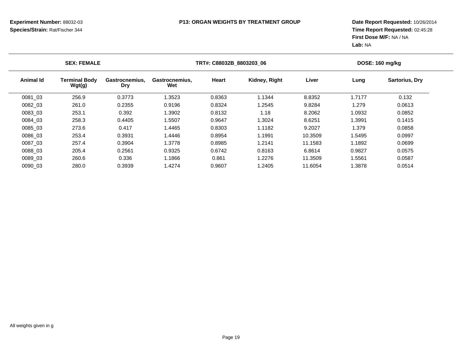|                  | <b>SEX: FEMALE</b>             |                              |                       | TRT#: C88032B_8803203_06 |               |         |        | DOSE: 160 mg/kg |  |  |
|------------------|--------------------------------|------------------------------|-----------------------|--------------------------|---------------|---------|--------|-----------------|--|--|
| <b>Animal Id</b> | <b>Terminal Body</b><br>Wgt(g) | Gastrocnemius.<br><b>Dry</b> | Gastrocnemius.<br>Wet | <b>Heart</b>             | Kidney, Right | Liver   | Lung   | Sartorius, Dry  |  |  |
| 0081_03          | 256.9                          | 0.3773                       | 1.3523                | 0.8363                   | 1.1344        | 8.8352  | 1.7177 | 0.132           |  |  |
| 0082 03          | 261.0                          | 0.2355                       | 0.9196                | 0.8324                   | 1.2545        | 9.8284  | 1.279  | 0.0613          |  |  |
| 0083 03          | 253.1                          | 0.392                        | 1.3902                | 0.8132                   | 1.18          | 8.2062  | 1.0932 | 0.0852          |  |  |
| 0084 03          | 258.3                          | 0.4405                       | 1.5507                | 0.9647                   | 1.3024        | 8.6251  | 1.3991 | 0.1415          |  |  |
| 0085 03          | 273.6                          | 0.417                        | 1.4465                | 0.8303                   | 1.1182        | 9.2027  | 1.379  | 0.0858          |  |  |
| 0086 03          | 253.4                          | 0.3931                       | 1.4446                | 0.8954                   | 1.1991        | 10.3509 | 1.5495 | 0.0997          |  |  |
| 0087 03          | 257.4                          | 0.3904                       | 1.3778                | 0.8985                   | 1.2141        | 11.1583 | 1.1892 | 0.0699          |  |  |
| 0088 03          | 205.4                          | 0.2561                       | 0.9325                | 0.6742                   | 0.8163        | 6.8614  | 0.9827 | 0.0575          |  |  |
| 0089 03          | 260.6                          | 0.336                        | 1.1866                | 0.861                    | 1.2276        | 11.3509 | 1.5561 | 0.0587          |  |  |
| 0090 03          | 280.0                          | 0.3939                       | 1.4274                | 0.9607                   | 1.2405        | 11.6054 | 1.3878 | 0.0514          |  |  |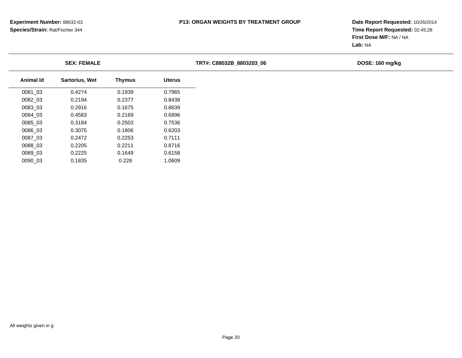|           | <b>SEX: FEMALE</b>    |               |               | TRT#: C88032B 8803203 06 | DOSE: 160 mg/kg |
|-----------|-----------------------|---------------|---------------|--------------------------|-----------------|
| Animal Id | <b>Sartorius, Wet</b> | <b>Thymus</b> | <b>Uterus</b> |                          |                 |
| 0081_03   | 0.4274                | 0.1939        | 0.7965        |                          |                 |
| 0082_03   | 0.2194                | 0.2377        | 0.8438        |                          |                 |
| 0083_03   | 0.2916                | 0.1675        | 0.8639        |                          |                 |
| 0084_03   | 0.4583                | 0.2169        | 0.6896        |                          |                 |
| 0085_03   | 0.3184                | 0.2503        | 0.7536        |                          |                 |
| 0086_03   | 0.3075                | 0.1806        | 0.6203        |                          |                 |
| 0087_03   | 0.2472                | 0.2253        | 0.7111        |                          |                 |
| 0088_03   | 0.2205                | 0.2211        | 0.8716        |                          |                 |
| 0089_03   | 0.2225                | 0.1649        | 0.6158        |                          |                 |
| 0090_03   | 0.1835                | 0.228         | 1.0609        |                          |                 |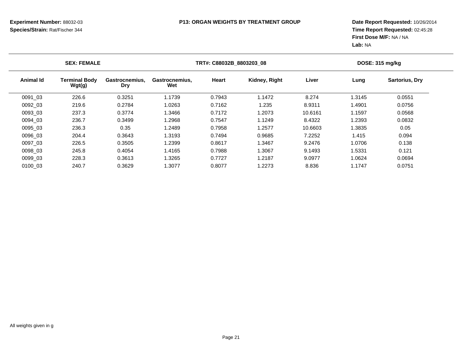|           | <b>SEX: FEMALE</b>             |                              |                       | TRT#: C88032B 8803203 08 |               |         |        | <b>DOSE: 315 mg/kg</b> |  |  |
|-----------|--------------------------------|------------------------------|-----------------------|--------------------------|---------------|---------|--------|------------------------|--|--|
| Animal Id | <b>Terminal Body</b><br>Wgt(g) | Gastrocnemius,<br><b>Dry</b> | Gastrocnemius,<br>Wet | Heart                    | Kidney, Right | Liver   | Lung   | <b>Sartorius, Dry</b>  |  |  |
| 0091 03   | 226.6                          | 0.3251                       | 1.1739                | 0.7943                   | 1.1472        | 8.274   | 1.3145 | 0.0551                 |  |  |
| 0092 03   | 219.6                          | 0.2784                       | 1.0263                | 0.7162                   | 1.235         | 8.9311  | 1.4901 | 0.0756                 |  |  |
| 0093 03   | 237.3                          | 0.3774                       | 1.3466                | 0.7172                   | 1.2073        | 10.6161 | 1.1597 | 0.0568                 |  |  |
| 0094 03   | 236.7                          | 0.3499                       | 1.2968                | 0.7547                   | 1.1249        | 8.4322  | 1.2393 | 0.0832                 |  |  |
| 0095 03   | 236.3                          | 0.35                         | 1.2489                | 0.7958                   | 1.2577        | 10.6603 | 1.3835 | 0.05                   |  |  |
| 0096 03   | 204.4                          | 0.3643                       | 1.3193                | 0.7494                   | 0.9685        | 7.2252  | 1.415  | 0.094                  |  |  |
| 0097 03   | 226.5                          | 0.3505                       | 1.2399                | 0.8617                   | 1.3467        | 9.2476  | 1.0706 | 0.138                  |  |  |
| 0098 03   | 245.8                          | 0.4054                       | 1.4165                | 0.7988                   | 1.3067        | 9.1493  | 1.5331 | 0.121                  |  |  |
| 0099 03   | 228.3                          | 0.3613                       | 1.3265                | 0.7727                   | 1.2187        | 9.0977  | 1.0624 | 0.0694                 |  |  |
| 0100 03   | 240.7                          | 0.3629                       | 1.3077                | 0.8077                   | 1.2273        | 8.836   | 1.1747 | 0.0751                 |  |  |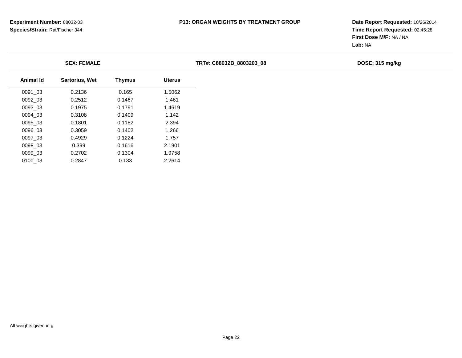|                  | <b>SEX: FEMALE</b> |               |               | TRT#: C88032B 8803203 08 | DOSE: 315 mg/kg |  |  |
|------------------|--------------------|---------------|---------------|--------------------------|-----------------|--|--|
| <b>Animal Id</b> | Sartorius, Wet     | <b>Thymus</b> | <b>Uterus</b> |                          |                 |  |  |
| 0091_03          | 0.2136             | 0.165         | 1.5062        |                          |                 |  |  |
| 0092_03          | 0.2512             | 0.1467        | 1.461         |                          |                 |  |  |
| 0093_03          | 0.1975             | 0.1791        | 1.4619        |                          |                 |  |  |
| 0094_03          | 0.3108             | 0.1409        | 1.142         |                          |                 |  |  |
| 0095 03          | 0.1801             | 0.1182        | 2.394         |                          |                 |  |  |
| 0096_03          | 0.3059             | 0.1402        | .266          |                          |                 |  |  |
| 0097_03          | 0.4929             | 0.1224        | 1.757         |                          |                 |  |  |
| 0098 03          | 0.399              | 0.1616        | 2.1901        |                          |                 |  |  |
| 0099_03          | 0.2702             | 0.1304        | 1.9758        |                          |                 |  |  |
| 0100_03          | 0.2847             | 0.133         | 2.2614        |                          |                 |  |  |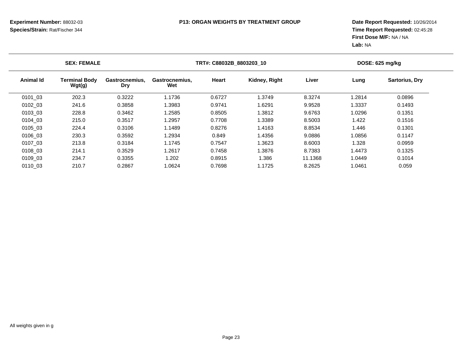|                  | <b>SEX: FEMALE</b>      |                              |                       | TRT#: C88032B_8803203_10 |               |         | DOSE: 625 mg/kg |                       |  |
|------------------|-------------------------|------------------------------|-----------------------|--------------------------|---------------|---------|-----------------|-----------------------|--|
| <b>Animal Id</b> | Terminal Bodv<br>Wgt(g) | Gastrocnemius.<br><b>Dry</b> | Gastrocnemius,<br>Wet | <b>Heart</b>             | Kidney, Right | Liver   | Lung            | <b>Sartorius, Dry</b> |  |
| 0101 03          | 202.3                   | 0.3222                       | 1.1736                | 0.6727                   | 1.3749        | 8.3274  | 1.2814          | 0.0896                |  |
| 0102 03          | 241.6                   | 0.3858                       | 1.3983                | 0.9741                   | 1.6291        | 9.9528  | 1.3337          | 0.1493                |  |
| 0103 03          | 228.8                   | 0.3462                       | .2585                 | 0.8505                   | 1.3812        | 9.6763  | 1.0296          | 0.1351                |  |
| 0104 03          | 215.0                   | 0.3517                       | .2957                 | 0.7708                   | 1.3389        | 8.5003  | 1.422           | 0.1516                |  |
| 0105 03          | 224.4                   | 0.3106                       | 1.1489                | 0.8276                   | 1.4163        | 8.8534  | 1.446           | 0.1301                |  |
| 0106 03          | 230.3                   | 0.3592                       | 1.2934                | 0.849                    | 1.4356        | 9.0886  | 1.0856          | 0.1147                |  |
| 0107 03          | 213.8                   | 0.3184                       | 1.1745                | 0.7547                   | 1.3623        | 8.6003  | 1.328           | 0.0959                |  |
| 0108 03          | 214.1                   | 0.3529                       | 1.2617                | 0.7458                   | 1.3876        | 8.7383  | 1.4473          | 0.1325                |  |
| 0109 03          | 234.7                   | 0.3355                       | 1.202                 | 0.8915                   | 1.386         | 11.1368 | 1.0449          | 0.1014                |  |
| 0110 03          | 210.7                   | 0.2867                       | 1.0624                | 0.7698                   | 1.1725        | 8.2625  | 1.0461          | 0.059                 |  |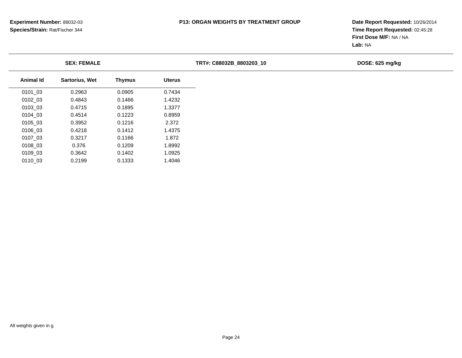|                  | <b>SEX: FEMALE</b>    |               |               | TRT#: C88032B 8803203 10 | DOSE: 625 mg/kg |
|------------------|-----------------------|---------------|---------------|--------------------------|-----------------|
| <b>Animal Id</b> | <b>Sartorius, Wet</b> | <b>Thymus</b> | <b>Uterus</b> |                          |                 |
| 0101 03          | 0.2963                | 0.0905        | 0.7434        |                          |                 |
| 0102_03          | 0.4843                | 0.1466        | 1.4232        |                          |                 |
| 0103_03          | 0.4715                | 0.1895        | 1.3377        |                          |                 |
| 0104 03          | 0.4514                | 0.1223        | 0.8959        |                          |                 |
| 0105_03          | 0.3952                | 0.1216        | 2.372         |                          |                 |
| 0106_03          | 0.4218                | 0.1412        | 1.4375        |                          |                 |
| 0107_03          | 0.3217                | 0.1166        | 1.872         |                          |                 |
| 0108_03          | 0.376                 | 0.1209        | 1.8992        |                          |                 |
| 0109 03          | 0.3642                | 0.1402        | 1.0925        |                          |                 |
| 0110_03          | 0.2199                | 0.1333        | 1.4046        |                          |                 |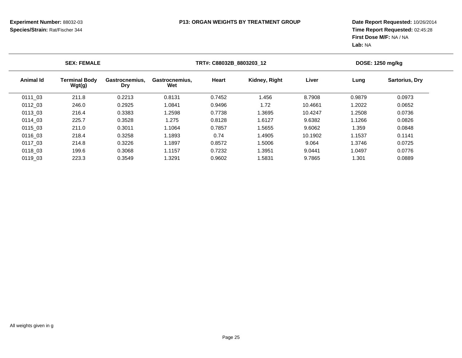| <b>SEX: FEMALE</b> |                                |                              |                       | TRT#: C88032B 8803203 12 |               |         |        | DOSE: 1250 mg/kg      |  |  |
|--------------------|--------------------------------|------------------------------|-----------------------|--------------------------|---------------|---------|--------|-----------------------|--|--|
| Animal Id          | <b>Terminal Body</b><br>Wgt(g) | Gastrocnemius.<br><b>Dry</b> | Gastrocnemius,<br>Wet | Heart                    | Kidney, Right | Liver   | Lung   | <b>Sartorius, Dry</b> |  |  |
| 0111 03            | 211.8                          | 0.2213                       | 0.8131                | 0.7452                   | .456          | 8.7908  | 0.9879 | 0.0973                |  |  |
| 0112 03            | 246.0                          | 0.2925                       | 1.0841                | 0.9496                   | 1.72          | 10.4661 | 1.2022 | 0.0652                |  |  |
| 0113 03            | 216.4                          | 0.3383                       | 1.2598                | 0.7738                   | 1.3695        | 10.4247 | .2508  | 0.0736                |  |  |
| 0114 03            | 225.7                          | 0.3528                       | 1.275                 | 0.8128                   | 1.6127        | 9.6382  | 1.1266 | 0.0826                |  |  |
| 0115 03            | 211.0                          | 0.3011                       | 1.1064                | 0.7857                   | 1.5655        | 9.6062  | .359   | 0.0848                |  |  |
| 0116 03            | 218.4                          | 0.3258                       | 1.1893                | 0.74                     | 1.4905        | 10.1902 | 1.1537 | 0.1141                |  |  |
| 0117 03            | 214.8                          | 0.3226                       | 1.1897                | 0.8572                   | 1.5006        | 9.064   | 1.3746 | 0.0725                |  |  |
| 0118 03            | 199.6                          | 0.3068                       | 1.1157                | 0.7232                   | 1.3951        | 9.0441  | 1.0497 | 0.0776                |  |  |
| 0119 03            | 223.3                          | 0.3549                       | 1.3291                | 0.9602                   | 1.5831        | 9.7865  | .301   | 0.0889                |  |  |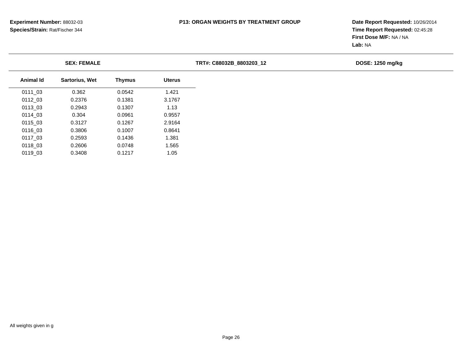| <b>SEX: FEMALE</b> |                       |               | TRT#: C88032B 8803203 12 |  | DOSE: 1250 mg/kg |
|--------------------|-----------------------|---------------|--------------------------|--|------------------|
| Animal Id          | <b>Sartorius, Wet</b> | <b>Thymus</b> | <b>Uterus</b>            |  |                  |
| 0111_03            | 0.362                 | 0.0542        | 1.421                    |  |                  |
| 0112_03            | 0.2376                | 0.1381        | 3.1767                   |  |                  |
| 0113_03            | 0.2943                | 0.1307        | 1.13                     |  |                  |
| 0114_03            | 0.304                 | 0.0961        | 0.9557                   |  |                  |
| 0115 03            | 0.3127                | 0.1267        | 2.9164                   |  |                  |
| 0116_03            | 0.3806                | 0.1007        | 0.8641                   |  |                  |
| 0117_03            | 0.2593                | 0.1436        | 1.381                    |  |                  |
| 0118 03            | 0.2606                | 0.0748        | 1.565                    |  |                  |
| 0119_03            | 0.3408                | 0.1217        | 1.05                     |  |                  |